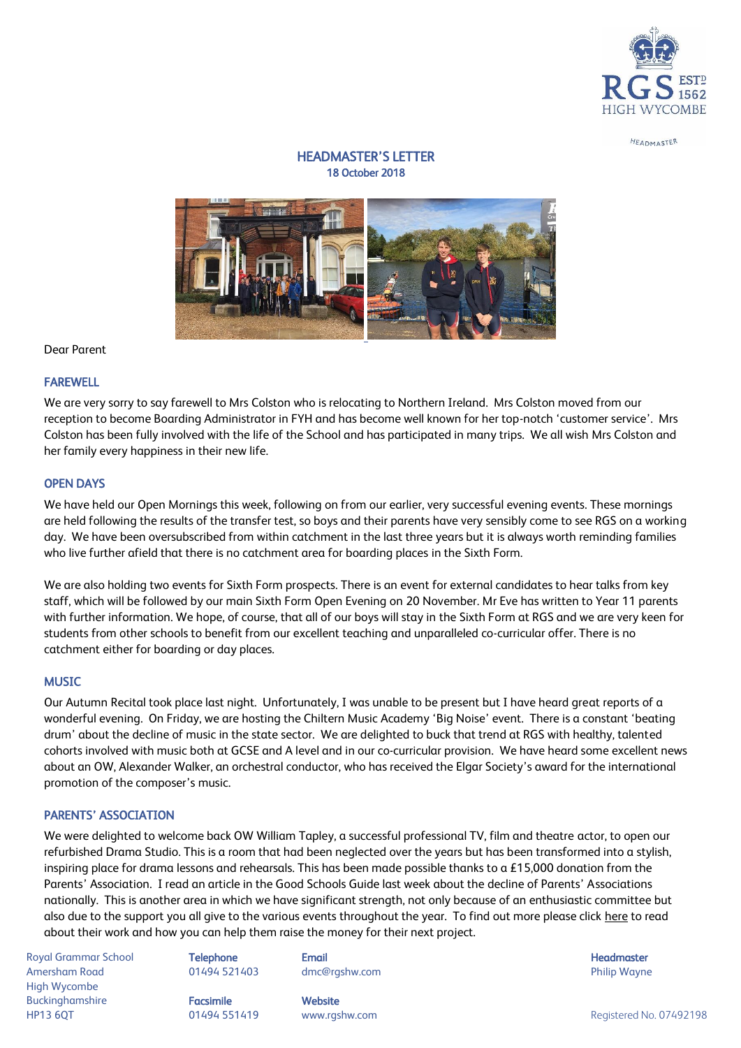

#### HEADMASTER

# HEADMASTER'S LETTER 18 October 2018



Dear Parent

#### FAREWELL

We are very sorry to say farewell to Mrs Colston who is relocating to Northern Ireland. Mrs Colston moved from our reception to become Boarding Administrator in FYH and has become well known for her top-notch 'customer service'. Mrs Colston has been fully involved with the life of the School and has participated in many trips. We all wish Mrs Colston and her family every happiness in their new life.

### OPEN DAYS

We have held our Open Mornings this week, following on from our earlier, very successful evening events. These mornings are held following the results of the transfer test, so boys and their parents have very sensibly come to see RGS on a working day. We have been oversubscribed from within catchment in the last three years but it is always worth reminding families who live further afield that there is no catchment area for boarding places in the Sixth Form.

We are also holding two events for Sixth Form prospects. There is an event for external candidates to hear talks from key staff, which will be followed by our main Sixth Form Open Evening on 20 November. Mr Eve has written to Year 11 parents with further information. We hope, of course, that all of our boys will stay in the Sixth Form at RGS and we are very keen for students from other schools to benefit from our excellent teaching and unparalleled co-curricular offer. There is no catchment either for boarding or day places.

#### **MUSIC**

Our Autumn Recital took place last night. Unfortunately, I was unable to be present but I have heard great reports of a wonderful evening. On Friday, we are hosting the Chiltern Music Academy 'Big Noise' event. There is a constant 'beating drum' about the decline of music in the state sector. We are delighted to buck that trend at RGS with healthy, talented cohorts involved with music both at GCSE and A level and in our co-curricular provision. We have heard some excellent news about an OW, Alexander Walker, an orchestral conductor, who has received the Elgar Society's award for the international promotion of the composer's music.

# PARENTS' ASSOCIATION

We were delighted to welcome back OW William Tapley, a successful professional TV, film and theatre actor, to open our refurbished Drama Studio. This is a room that had been neglected over the years but has been transformed into a stylish, inspiring place for drama lessons and rehearsals. This has been made possible thanks to a £15,000 donation from the Parents' Association. I read an article in the Good Schools Guide last week about the decline of Parents' Associations nationally. This is another area in which we have significant strength, not only because of an enthusiastic committee but also due to the support you all give to the various events throughout the year. To find out more please click [here](http://rgshw.ng1.devwebsite.co.uk/page/?title=Parents%27+Association&pid=161) to read about their work and how you can help them raise the money for their next project.

Royal Grammar School **Telephone Email Headmaster Email Headmaster Headmaster Headmaster** Amersham Road 01494 521403 dmc@rgshw.com Philip Wayne High Wycombe Buckinghamshire **Facsimile Facsimile** Website HP13 6QT 01494 551419 www.rgshw.com Registered No. 07492198